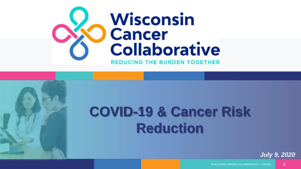

# **COVID-19 & Cancer Risk Reduction**

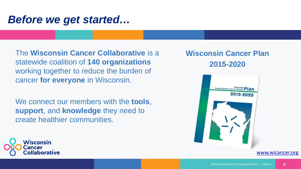#### *Before we get started…*

The **Wisconsin Cancer Collaborative** is a statewide coalition of **140 organizations**  working together to reduce the burden of cancer **for everyone** in Wisconsin.

We connect our members with the **tools**, **support**, and **knowledge** they need to create healthier communities.

#### **Wisconsin Cancer Plan 2015-2020**





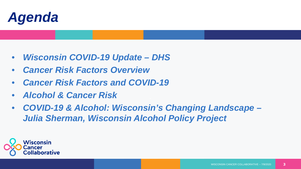

- *Wisconsin COVID-19 Update – DHS*
- *Cancer Risk Factors Overview*
- *Cancer Risk Factors and COVID-19*
- *Alcohol & Cancer Risk*
- *COVID-19 & Alcohol: Wisconsin's Changing Landscape – Julia Sherman, Wisconsin Alcohol Policy Project*

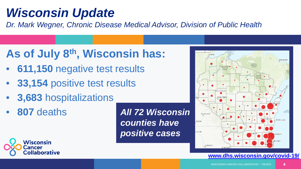## *Wisconsin Update*

*Dr. Mark Wegner, Chronic Disease Medical Advisor, Division of Public Health*

## **As of July 8th, Wisconsin has:**

- **611,150** negative test results
- **33,154** positive test results
- **3,683** hospitalizations
- **807** deaths

*All 72 Wisconsin counties have positive cases*



#### **[www.dhs.wisconsin.gov/covid-19/](http://www.dhs.wisconsin.gov/covid-19/)**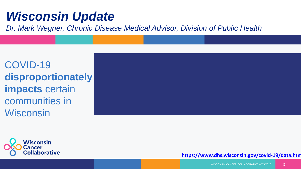## *Wisconsin Update*

*Dr. Mark Wegner, Chronic Disease Medical Advisor, Division of Public Health*

COVID-19 **disproportionately impacts** certain communities in **Wisconsin** 



#### **<https://www.dhs.wisconsin.gov/covid-19/data.htm>**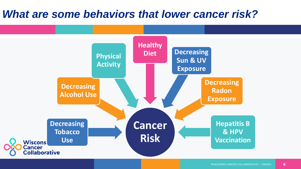#### *What are some behaviors that lower cancer risk?*

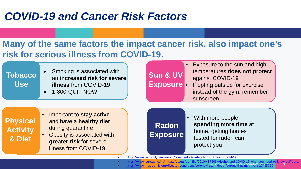### *COVID-19 and Cancer Risk Factors*

#### **Many of the same factors the impact cancer risk, also impact one's risk for serious illness from COVID-19.**

• Smoking is associated with an **increased risk for severe illness** from COVID-19 **Tobacco Use**

• 1-800-QUIT-NOW

Exposure to the sun and high temperatures **does not protect**  against COVID-19 **Sun & UV** 

If opting outside for exercise instead of the gym, remember sunscreen **Exposure**

**Physical Activity & Diet**

• Important to **stay active**  and have a **healthy diet**  during quarantine

• Obesity is associated with **greater risk** for severe illness from COVID-19

**Radon Exposure**

With more people **spending more time** at home, getting homes tested for radon can protect you

• <https://www.who.int/news-room/commentaries/detail/smoking-and-covid-19>

- [https://www.euro.who.int/\\_\\_data/assets/pdf\\_file/0010/437608/Alcohol-and-COVID-19-what-you-need-to-know.pdf?ua=1](https://www.euro.who.int/__data/assets/pdf_file/0010/437608/Alcohol-and-COVID-19-what-you-need-to-know.pdf?ua=1)
- WISCONSIN CANCER COLLABORATIVE 7/9/2020 7 • <https://www.mayoclinic.org/diseases-conditions/coronavirus/in-depth/coronavirus-myths/art-20485720>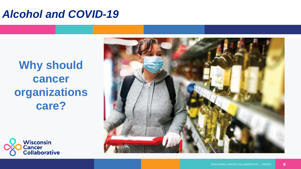#### *Alcohol and COVID-19*

**Why should cancer organizations care?**



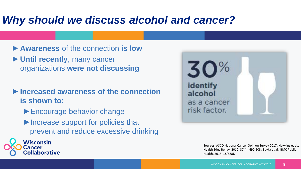### *Why should we discuss alcohol and cancer?*

- ►**Awareness** of the connection **is low**
- ►**Until recently**, many cancer organizations **were not discussing**
- ►**Increased awareness of the connection is shown to:**
	- ► Encourage behavior change

Wisconsin

Collaborative

**Cancer** 

► Increase support for policies that prevent and reduce excessive drinking



Sources: ASCO National Cancer Opinion Survey 2017; Hawkins et al., Health Educ Behav. 2010; 37(4): 490-503; Buykx et al., BMC Public Health, 2018, 18(688).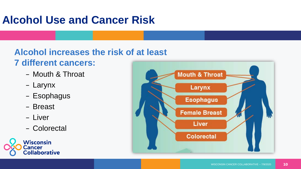## **Alcohol Use and Cancer Risk**

### **Alcohol increases the risk of at least**

- **7 different cancers:**
	- Mouth & Throat
	- Larynx
	- Esophagus
	- Breast
	- Liver
	- Colorectal



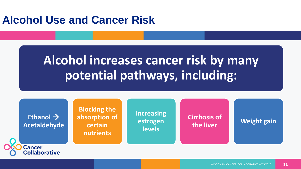#### **Alcohol Use and Cancer Risk**

## **Alcohol increases cancer risk by many potential pathways, including:**

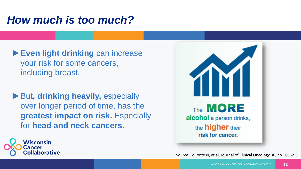### *How much is too much?*

- ►**Even light drinking** can increase your risk for some cancers, including breast.
- ►But**, drinking heavily,** especially over longer period of time, has the **greatest impact on risk.** Especially for **head and neck cancers.**





Source: LoConte N, et al, Journal of Clinical Oncology 36, no. 1,83-93.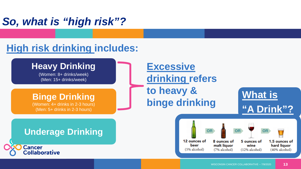## *So, what is "high risk"?*

#### **High risk drinking includes:**

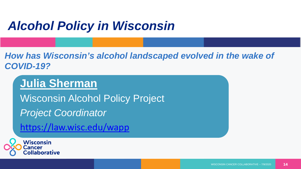## *Alcohol Policy in Wisconsin*

*How has Wisconsin's alcohol landscaped evolved in the wake of COVID-19?*

#### **Julia Sherman**

Wisconsin Alcohol Policy Project *Project Coordinator*

<https://law.wisc.edu/wapp>

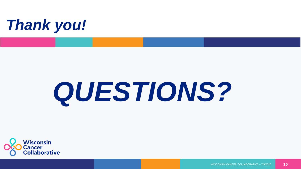

## $\overline{\phantom{a}}$ *QUESTIONS?*

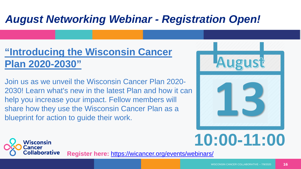## *August Networking Webinar - Registration Open!*

#### **"Introducing the Wisconsin Cancer Plan 2020-2030"**

help you increase your impact. Fellow members will Join us as we unveil the Wisconsin Cancer Plan 2020- 2030! Learn what's new in the latest Plan and how it can share how they use the Wisconsin Cancer Plan as a blueprint for action to guide their work.



# **10:00-11:00**



**Register here:** <https://wicancer.org/events/webinars/>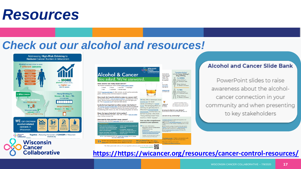## *Resources*

#### *Check out our alcohol and resources!*





#### Alcohol and Cancer Slide Bank

PowerPoint slides to raise awareness about the alcoholcancer connection in your community and when presenting to key stakeholders

**[https://https://wicancer.org/resources/cancer-control-resources/](https://wicancer.org/wp-content/uploads/2019/12/InfoGraphic_Alcohol_Final_updated.pdf)**